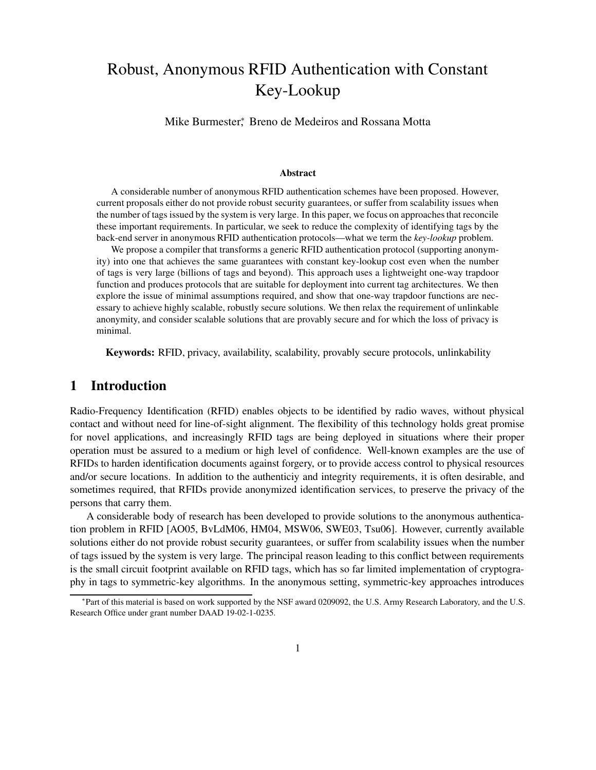# Robust, Anonymous RFID Authentication with Constant Key-Lookup

Mike Burmester<sup>∗</sup> , Breno de Medeiros and Rossana Motta

#### **Abstract**

A considerable number of anonymous RFID authentication schemes have been proposed. However, current proposals either do not provide robust security guarantees, or suffer from scalability issues when the number of tags issued by the system is very large. In this paper, we focus on approachesthat reconcile these important requirements. In particular, we seek to reduce the complexity of identifying tags by the back-end server in anonymous RFID authentication protocols—what we term the *key-lookup* problem.

We propose a compiler that transforms a generic RFID authentication protocol (supporting anonymity) into one that achieves the same guarantees with constant key-lookup cost even when the number of tags is very large (billions of tags and beyond). This approach uses a lightweight one-way trapdoor function and produces protocols that are suitable for deployment into current tag architectures. We then explore the issue of minimal assumptions required, and show that one-way trapdoor functions are necessary to achieve highly scalable, robustly secure solutions. We then relax the requirement of unlinkable anonymity, and consider scalable solutions that are provably secure and for which the loss of privacy is minimal.

**Keywords:** RFID, privacy, availability, scalability, provably secure protocols, unlinkability

## **1 Introduction**

Radio-Frequency Identification (RFID) enables objects to be identified by radio waves, without physical contact and without need for line-of-sight alignment. The flexibility of this technology holds great promise for novel applications, and increasingly RFID tags are being deployed in situations where their proper operation must be assured to a medium or high level of confidence. Well-known examples are the use of RFIDs to harden identification documents against forgery, or to provide access control to physical resources and/or secure locations. In addition to the authenticiy and integrity requirements, it is often desirable, and sometimes required, that RFIDs provide anonymized identification services, to preserve the privacy of the persons that carry them.

A considerable body of research has been developed to provide solutions to the anonymous authentication problem in RFID [AO05, BvLdM06, HM04, MSW06, SWE03, Tsu06]. However, currently available solutions either do not provide robust security guarantees, or suffer from scalability issues when the number of tags issued by the system is very large. The principal reason leading to this conflict between requirements is the small circuit footprint available on RFID tags, which has so far limited implementation of cryptography in tags to symmetric-key algorithms. In the anonymous setting, symmetric-key approaches introduces

<sup>∗</sup>Part of this material is based on work supported by the NSF award 0209092, the U.S. Army Research Laboratory, and the U.S. Research Office under grant number DAAD 19-02-1-0235.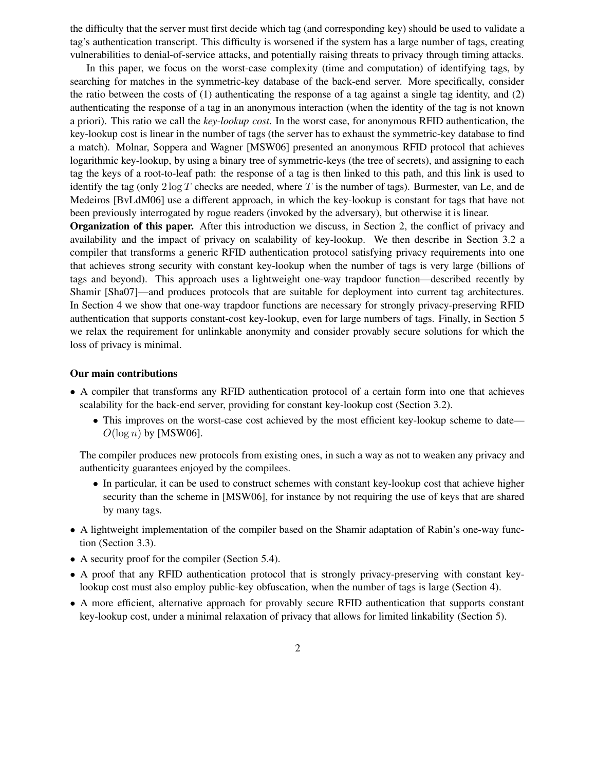the difficulty that the server must first decide which tag (and corresponding key) should be used to validate a tag's authentication transcript. This difficulty is worsened if the system has a large number of tags, creating vulnerabilities to denial-of-service attacks, and potentially raising threats to privacy through timing attacks.

In this paper, we focus on the worst-case complexity (time and computation) of identifying tags, by searching for matches in the symmetric-key database of the back-end server. More specifically, consider the ratio between the costs of (1) authenticating the response of a tag against a single tag identity, and (2) authenticating the response of a tag in an anonymous interaction (when the identity of the tag is not known a priori). This ratio we call the *key-lookup cost*. In the worst case, for anonymous RFID authentication, the key-lookup cost is linear in the number of tags (the server has to exhaust the symmetric-key database to find a match). Molnar, Soppera and Wagner [MSW06] presented an anonymous RFID protocol that achieves logarithmic key-lookup, by using a binary tree of symmetric-keys (the tree of secrets), and assigning to each tag the keys of a root-to-leaf path: the response of a tag is then linked to this path, and this link is used to identify the tag (only  $2 \log T$  checks are needed, where T is the number of tags). Burmester, van Le, and de Medeiros [BvLdM06] use a different approach, in which the key-lookup is constant for tags that have not been previously interrogated by rogue readers (invoked by the adversary), but otherwise it is linear.

**Organization of this paper.** After this introduction we discuss, in Section 2, the conflict of privacy and availability and the impact of privacy on scalability of key-lookup. We then describe in Section 3.2 a compiler that transforms a generic RFID authentication protocol satisfying privacy requirements into one that achieves strong security with constant key-lookup when the number of tags is very large (billions of tags and beyond). This approach uses a lightweight one-way trapdoor function—described recently by Shamir [Sha07]—and produces protocols that are suitable for deployment into current tag architectures. In Section 4 we show that one-way trapdoor functions are necessary for strongly privacy-preserving RFID authentication that supports constant-cost key-lookup, even for large numbers of tags. Finally, in Section 5 we relax the requirement for unlinkable anonymity and consider provably secure solutions for which the loss of privacy is minimal.

#### **Our main contributions**

- A compiler that transforms any RFID authentication protocol of a certain form into one that achieves scalability for the back-end server, providing for constant key-lookup cost (Section 3.2).
	- This improves on the worst-case cost achieved by the most efficient key-lookup scheme to date—  $O(\log n)$  by [MSW06].

The compiler produces new protocols from existing ones, in such a way as not to weaken any privacy and authenticity guarantees enjoyed by the compilees.

- In particular, it can be used to construct schemes with constant key-lookup cost that achieve higher security than the scheme in [MSW06], for instance by not requiring the use of keys that are shared by many tags.
- A lightweight implementation of the compiler based on the Shamir adaptation of Rabin's one-way function (Section 3.3).
- A security proof for the compiler (Section 5.4).
- A proof that any RFID authentication protocol that is strongly privacy-preserving with constant keylookup cost must also employ public-key obfuscation, when the number of tags is large (Section 4).
- A more efficient, alternative approach for provably secure RFID authentication that supports constant key-lookup cost, under a minimal relaxation of privacy that allows for limited linkability (Section 5).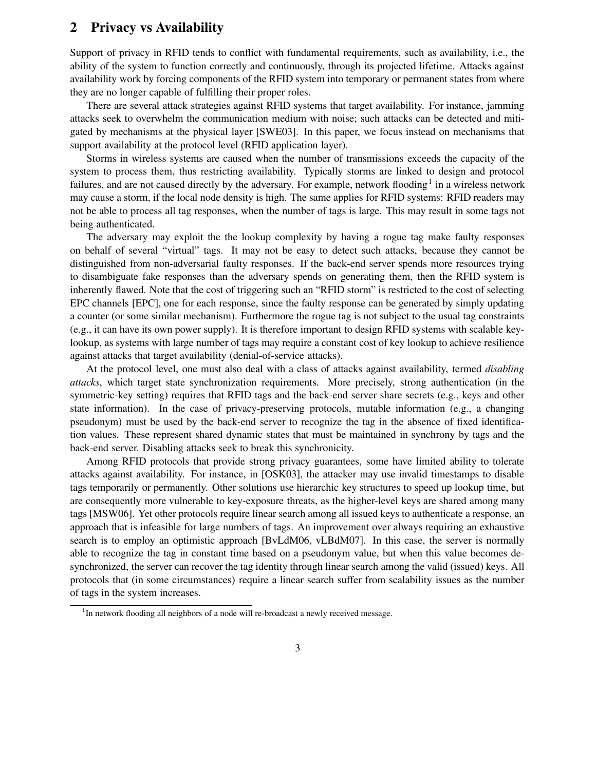## **2 Privacy vs Availability**

Support of privacy in RFID tends to conflict with fundamental requirements, such as availability, i.e., the ability of the system to function correctly and continuously, through its projected lifetime. Attacks against availability work by forcing components of the RFID system into temporary or permanent states from where they are no longer capable of fulfilling their proper roles.

There are several attack strategies against RFID systems that target availability. For instance, jamming attacks seek to overwhelm the communication medium with noise; such attacks can be detected and mitigated by mechanisms at the physical layer [SWE03]. In this paper, we focus instead on mechanisms that support availability at the protocol level (RFID application layer).

Storms in wireless systems are caused when the number of transmissions exceeds the capacity of the system to process them, thus restricting availability. Typically storms are linked to design and protocol failures, and are not caused directly by the adversary. For example, network flooding<sup>1</sup> in a wireless network may cause a storm, if the local node density is high. The same applies for RFID systems: RFID readers may not be able to process all tag responses, when the number of tags is large. This may result in some tags not being authenticated.

The adversary may exploit the the lookup complexity by having a rogue tag make faulty responses on behalf of several "virtual" tags. It may not be easy to detect such attacks, because they cannot be distinguished from non-adversarial faulty responses. If the back-end server spends more resources trying to disambiguate fake responses than the adversary spends on generating them, then the RFID system is inherently flawed. Note that the cost of triggering such an "RFID storm" is restricted to the cost of selecting EPC channels [EPC], one for each response, since the faulty response can be generated by simply updating a counter (or some similar mechanism). Furthermore the rogue tag is not subject to the usual tag constraints (e.g., it can have its own power supply). It is therefore important to design RFID systems with scalable keylookup, as systems with large number of tags may require a constant cost of key lookup to achieve resilience against attacks that target availability (denial-of-service attacks).

At the protocol level, one must also deal with a class of attacks against availability, termed *disabling attacks*, which target state synchronization requirements. More precisely, strong authentication (in the symmetric-key setting) requires that RFID tags and the back-end server share secrets (e.g., keys and other state information). In the case of privacy-preserving protocols, mutable information (e.g., a changing pseudonym) must be used by the back-end server to recognize the tag in the absence of fixed identification values. These represent shared dynamic states that must be maintained in synchrony by tags and the back-end server. Disabling attacks seek to break this synchronicity.

Among RFID protocols that provide strong privacy guarantees, some have limited ability to tolerate attacks against availability. For instance, in [OSK03], the attacker may use invalid timestamps to disable tags temporarily or permanently. Other solutions use hierarchic key structures to speed up lookup time, but are consequently more vulnerable to key-exposure threats, as the higher-level keys are shared among many tags [MSW06]. Yet other protocols require linear search among all issued keys to authenticate a response, an approach that is infeasible for large numbers of tags. An improvement over always requiring an exhaustive search is to employ an optimistic approach [BvLdM06, vLBdM07]. In this case, the server is normally able to recognize the tag in constant time based on a pseudonym value, but when this value becomes desynchronized, the server can recover the tag identity through linear search among the valid (issued) keys. All protocols that (in some circumstances) require a linear search suffer from scalability issues as the number of tags in the system increases.

<sup>&</sup>lt;sup>1</sup>In network flooding all neighbors of a node will re-broadcast a newly received message.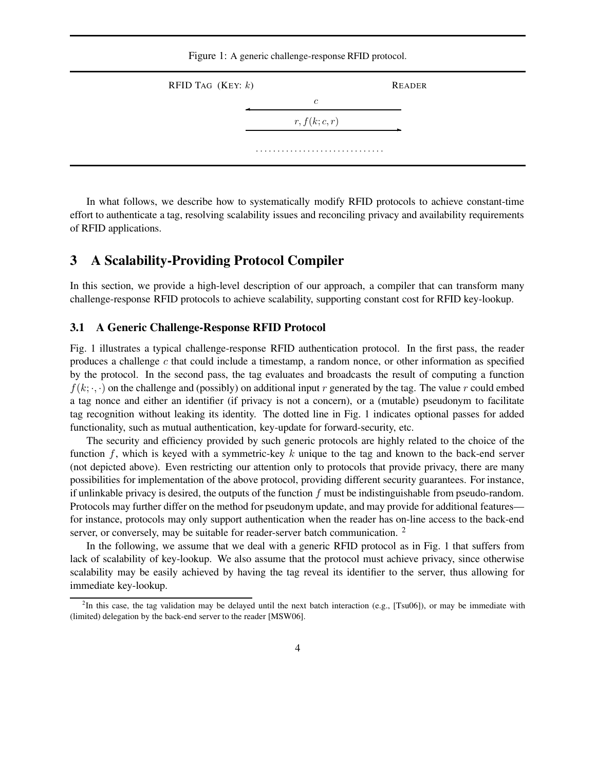Figure 1: A generic challenge-response RFID protocol.



In what follows, we describe how to systematically modify RFID protocols to achieve constant-time effort to authenticate a tag, resolving scalability issues and reconciling privacy and availability requirements of RFID applications.

## **3 A Scalability-Providing Protocol Compiler**

In this section, we provide a high-level description of our approach, a compiler that can transform many challenge-response RFID protocols to achieve scalability, supporting constant cost for RFID key-lookup.

#### **3.1 A Generic Challenge-Response RFID Protocol**

Fig. 1 illustrates a typical challenge-response RFID authentication protocol. In the first pass, the reader produces a challenge  $c$  that could include a timestamp, a random nonce, or other information as specified by the protocol. In the second pass, the tag evaluates and broadcasts the result of computing a function  $f(k; \cdot, \cdot)$  on the challenge and (possibly) on additional input r generated by the tag. The value r could embed a tag nonce and either an identifier (if privacy is not a concern), or a (mutable) pseudonym to facilitate tag recognition without leaking its identity. The dotted line in Fig. 1 indicates optional passes for added functionality, such as mutual authentication, key-update for forward-security, etc.

The security and efficiency provided by such generic protocols are highly related to the choice of the function f, which is keyed with a symmetric-key k unique to the tag and known to the back-end server (not depicted above). Even restricting our attention only to protocols that provide privacy, there are many possibilities for implementation of the above protocol, providing different security guarantees. For instance, if unlinkable privacy is desired, the outputs of the function  $f$  must be indistinguishable from pseudo-random. Protocols may further differ on the method for pseudonym update, and may provide for additional features for instance, protocols may only support authentication when the reader has on-line access to the back-end server, or conversely, may be suitable for reader-server batch communication. <sup>2</sup>

In the following, we assume that we deal with a generic RFID protocol as in Fig. 1 that suffers from lack of scalability of key-lookup. We also assume that the protocol must achieve privacy, since otherwise scalability may be easily achieved by having the tag reveal its identifier to the server, thus allowing for immediate key-lookup.

<sup>&</sup>lt;sup>2</sup>In this case, the tag validation may be delayed until the next batch interaction (e.g., [Tsu06]), or may be immediate with (limited) delegation by the back-end server to the reader [MSW06].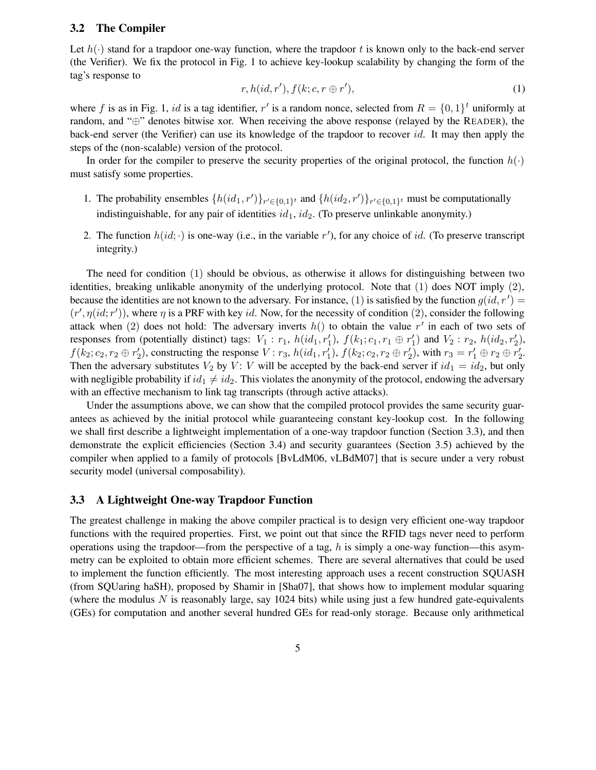#### **3.2 The Compiler**

Let  $h(\cdot)$  stand for a trapdoor one-way function, where the trapdoor t is known only to the back-end server (the Verifier). We fix the protocol in Fig. 1 to achieve key-lookup scalability by changing the form of the tag's response to

$$
r, h(id, r'), f(k; c, r \oplus r'), \tag{1}
$$

where f is as in Fig. 1, id is a tag identifier, r' is a random nonce, selected from  $R = \{0, 1\}^t$  uniformly at random, and "⊕" denotes bitwise xor. When receiving the above response (relayed by the READER), the back-end server (the Verifier) can use its knowledge of the trapdoor to recover id. It may then apply the steps of the (non-scalable) version of the protocol.

In order for the compiler to preserve the security properties of the original protocol, the function  $h(\cdot)$ must satisfy some properties.

- 1. The probability ensembles  $\{h(id_1, r')\}_{r' \in \{0,1\}^t}$  and  $\{h(id_2, r')\}_{r' \in \{0,1\}^t}$  must be computationally indistinguishable, for any pair of identities  $id_1$ ,  $id_2$ . (To preserve unlinkable anonymity.)
- 2. The function  $h(id; \cdot)$  is one-way (i.e., in the variable r'), for any choice of id. (To preserve transcript integrity.)

The need for condition (1) should be obvious, as otherwise it allows for distinguishing between two identities, breaking unlikable anonymity of the underlying protocol. Note that (1) does NOT imply (2), because the identities are not known to the adversary. For instance, (1) is satisfied by the function  $g(id, r') =$  $(r', \eta(id; r'))$ , where  $\eta$  is a PRF with key id. Now, for the necessity of condition (2), consider the following attack when (2) does not hold: The adversary inverts  $h()$  to obtain the value r' in each of two sets of responses from (potentially distinct) tags:  $V_1: r_1$ ,  $h(id_1, r'_1)$ ,  $f(k_1: c_1, r_1 \oplus r'_1)$  and  $V_2: r_2$ ,  $h(id_2, r'_2)$ ,  $f(k_2; c_2, r_2 \oplus r'_2)$ , constructing the response  $V: r_3$ ,  $h(id_1, r'_1)$ ,  $f(k_2; c_2, r_2 \oplus r'_2)$ , with  $r_3 = r'_1 \oplus r_2 \oplus r'_2$ . Then the adversary substitutes  $V_2$  by  $V: V$  will be accepted by the back-end server if  $id_1 = id_2$ , but only with negligible probability if  $id_1 \neq id_2$ . This violates the anonymity of the protocol, endowing the adversary with an effective mechanism to link tag transcripts (through active attacks).

Under the assumptions above, we can show that the compiled protocol provides the same security guarantees as achieved by the initial protocol while guaranteeing constant key-lookup cost. In the following we shall first describe a lightweight implementation of a one-way trapdoor function (Section 3.3), and then demonstrate the explicit efficiencies (Section 3.4) and security guarantees (Section 3.5) achieved by the compiler when applied to a family of protocols [BvLdM06, vLBdM07] that is secure under a very robust security model (universal composability).

#### **3.3 A Lightweight One-way Trapdoor Function**

The greatest challenge in making the above compiler practical is to design very efficient one-way trapdoor functions with the required properties. First, we point out that since the RFID tags never need to perform operations using the trapdoor—from the perspective of a tag, h is simply a one-way function—this asymmetry can be exploited to obtain more efficient schemes. There are several alternatives that could be used to implement the function efficiently. The most interesting approach uses a recent construction SQUASH (from SQUaring haSH), proposed by Shamir in [Sha07], that shows how to implement modular squaring (where the modulus  $N$  is reasonably large, say 1024 bits) while using just a few hundred gate-equivalents (GEs) for computation and another several hundred GEs for read-only storage. Because only arithmetical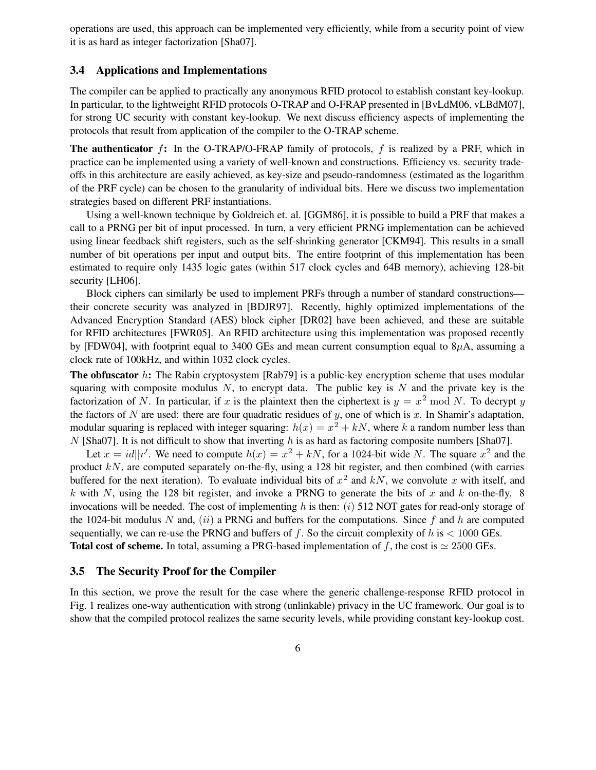operations are used, this approach can be implemented very efficiently, while from a security point of view it is as hard as integer factorization [Sha07].

#### **3.4 Applications and Implementations**

The compiler can be applied to practically any anonymous RFID protocol to establish constant key-lookup. In particular, to the lightweight RFID protocols O-TRAP and O-FRAP presented in [BvLdM06, vLBdM07], for strong UC security with constant key-lookup. We next discuss efficiency aspects of implementing the protocols that result from application of the compiler to the O-TRAP scheme.

**The authenticator** f**:** In the O-TRAP/O-FRAP family of protocols, f is realized by a PRF, which in practice can be implemented using a variety of well-known and constructions. Efficiency vs. security tradeoffs in this architecture are easily achieved, as key-size and pseudo-randomness (estimated as the logarithm of the PRF cycle) can be chosen to the granularity of individual bits. Here we discuss two implementation strategies based on different PRF instantiations.

Using a well-known technique by Goldreich et. al. [GGM86], it is possible to build a PRF that makes a call to a PRNG per bit of input processed. In turn, a very efficient PRNG implementation can be achieved using linear feedback shift registers, such as the self-shrinking generator [CKM94]. This results in a small number of bit operations per input and output bits. The entire footprint of this implementation has been estimated to require only 1435 logic gates (within 517 clock cycles and 64B memory), achieving 128-bit security [LH06].

Block ciphers can similarly be used to implement PRFs through a number of standard constructions their concrete security was analyzed in [BDJR97]. Recently, highly optimized implementations of the Advanced Encryption Standard (AES) block cipher [DR02] have been achieved, and these are suitable for RFID architectures [FWR05]. An RFID architecture using this implementation was proposed recently by [FDW04], with footprint equal to 3400 GEs and mean current consumption equal to  $8\mu$ A, assuming a clock rate of 100kHz, and within 1032 clock cycles.

**The obfuscator** h: The Rabin cryptosystem [Rab79] is a public-key encryption scheme that uses modular squaring with composite modulus  $N$ , to encrypt data. The public key is N and the private key is the factorization of N. In particular, if x is the plaintext then the ciphertext is  $y = x^2 \mod N$ . To decrypt y the factors of N are used: there are four quadratic residues of y, one of which is x. In Shamir's adaptation, modular squaring is replaced with integer squaring:  $h(x) = x^2 + kN$ , where k a random number less than N [Sha07]. It is not difficult to show that inverting h is as hard as factoring composite numbers [Sha07].

Let  $x = id||r'$ . We need to compute  $h(x) = x^2 + kN$ , for a 1024-bit wide N. The square  $x^2$  and the product  $kN$ , are computed separately on-the-fly, using a 128 bit register, and then combined (with carries buffered for the next iteration). To evaluate individual bits of  $x^2$  and kN, we convolute x with itself, and k with N, using the 128 bit register, and invoke a PRNG to generate the bits of x and k on-the-fly. 8 invocations will be needed. The cost of implementing h is then: (i) 512 NOT gates for read-only storage of the 1024-bit modulus N and,  $(ii)$  a PRNG and buffers for the computations. Since f and h are computed sequentially, we can re-use the PRNG and buffers of f. So the circuit complexity of h is  $\lt$  1000 GEs. **Total cost of scheme.** In total, assuming a PRG-based implementation of  $f$ , the cost is  $\simeq 2500$  GEs.

#### **3.5 The Security Proof for the Compiler**

In this section, we prove the result for the case where the generic challenge-response RFID protocol in Fig. 1 realizes one-way authentication with strong (unlinkable) privacy in the UC framework. Our goal is to show that the compiled protocol realizes the same security levels, while providing constant key-lookup cost.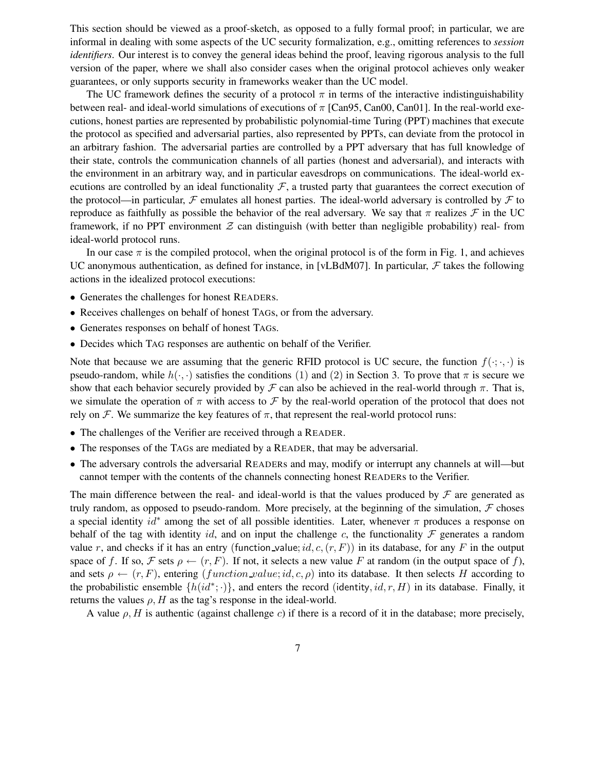This section should be viewed as a proof-sketch, as opposed to a fully formal proof; in particular, we are informal in dealing with some aspects of the UC security formalization, e.g., omitting references to *session identifiers*. Our interest is to convey the general ideas behind the proof, leaving rigorous analysis to the full version of the paper, where we shall also consider cases when the original protocol achieves only weaker guarantees, or only supports security in frameworks weaker than the UC model.

The UC framework defines the security of a protocol  $\pi$  in terms of the interactive indistinguishability between real- and ideal-world simulations of executions of  $\pi$  [Can95, Can00, Can01]. In the real-world executions, honest parties are represented by probabilistic polynomial-time Turing (PPT) machines that execute the protocol as specified and adversarial parties, also represented by PPTs, can deviate from the protocol in an arbitrary fashion. The adversarial parties are controlled by a PPT adversary that has full knowledge of their state, controls the communication channels of all parties (honest and adversarial), and interacts with the environment in an arbitrary way, and in particular eavesdrops on communications. The ideal-world executions are controlled by an ideal functionality  $F$ , a trusted party that guarantees the correct execution of the protocol—in particular,  $\mathcal F$  emulates all honest parties. The ideal-world adversary is controlled by  $\mathcal F$  to reproduce as faithfully as possible the behavior of the real adversary. We say that  $\pi$  realizes  $\mathcal F$  in the UC framework, if no PPT environment  $Z$  can distinguish (with better than negligible probability) real- from ideal-world protocol runs.

In our case  $\pi$  is the compiled protocol, when the original protocol is of the form in Fig. 1, and achieves UC anonymous authentication, as defined for instance, in [vLBdM07]. In particular,  $\mathcal F$  takes the following actions in the idealized protocol executions:

- Generates the challenges for honest READERs.
- Receives challenges on behalf of honest TAGs, or from the adversary.
- Generates responses on behalf of honest TAGs.
- Decides which TAG responses are authentic on behalf of the Verifier.

Note that because we are assuming that the generic RFID protocol is UC secure, the function  $f(\cdot;\cdot,\cdot)$  is pseudo-random, while  $h(\cdot, \cdot)$  satisfies the conditions (1) and (2) in Section 3. To prove that  $\pi$  is secure we show that each behavior securely provided by  $\mathcal F$  can also be achieved in the real-world through  $\pi$ . That is, we simulate the operation of  $\pi$  with access to  $\mathcal F$  by the real-world operation of the protocol that does not rely on  $\mathcal F$ . We summarize the key features of  $\pi$ , that represent the real-world protocol runs:

- The challenges of the Verifier are received through a READER.
- The responses of the TAGs are mediated by a READER, that may be adversarial.
- The adversary controls the adversarial READERs and may, modify or interrupt any channels at will—but cannot temper with the contents of the channels connecting honest READERs to the Verifier.

The main difference between the real- and ideal-world is that the values produced by  $\mathcal F$  are generated as truly random, as opposed to pseudo-random. More precisely, at the beginning of the simulation,  $F$  choses a special identity  $id^*$  among the set of all possible identities. Later, whenever  $\pi$  produces a response on behalf of the tag with identity id, and on input the challenge c, the functionality  $\mathcal F$  generates a random value r, and checks if it has an entry (function value; id, c,  $(r, F)$ ) in its database, for any F in the output space of f. If so, F sets  $\rho \leftarrow (r, F)$ . If not, it selects a new value F at random (in the output space of f), and sets  $\rho \leftarrow (r, F)$ , entering (function value; id, c,  $\rho$ ) into its database. It then selects H according to the probabilistic ensemble  $\{h(id^*; \cdot)\}\$ , and enters the record (identity,  $id, r, H$ ) in its database. Finally, it returns the values  $\rho$ , H as the tag's response in the ideal-world.

A value  $\rho$ , H is authentic (against challenge c) if there is a record of it in the database; more precisely,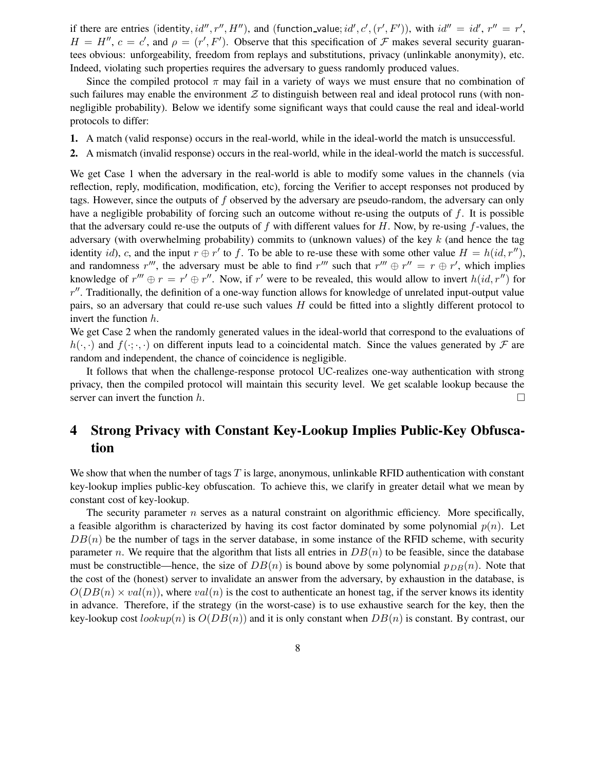if there are entries (identity,  $id'', r'', H'$ ), and (function\_value;  $id', c', (r', F')$ ), with  $id'' = id', r'' = r'$ ,  $H = H''$ ,  $c = c'$ , and  $\rho = (r', F')$ . Observe that this specification of  $\mathcal F$  makes several security guarantees obvious: unforgeability, freedom from replays and substitutions, privacy (unlinkable anonymity), etc. Indeed, violating such properties requires the adversary to guess randomly produced values.

Since the compiled protocol  $\pi$  may fail in a variety of ways we must ensure that no combination of such failures may enable the environment  $Z$  to distinguish between real and ideal protocol runs (with nonnegligible probability). Below we identify some significant ways that could cause the real and ideal-world protocols to differ:

- **1.** A match (valid response) occurs in the real-world, while in the ideal-world the match is unsuccessful.
- **2.** A mismatch (invalid response) occurs in the real-world, while in the ideal-world the match is successful.

We get Case 1 when the adversary in the real-world is able to modify some values in the channels (via reflection, reply, modification, modification, etc), forcing the Verifier to accept responses not produced by tags. However, since the outputs of f observed by the adversary are pseudo-random, the adversary can only have a negligible probability of forcing such an outcome without re-using the outputs of  $f$ . It is possible that the adversary could re-use the outputs of f with different values for  $H$ . Now, by re-using f-values, the adversary (with overwhelming probability) commits to (unknown values) of the key  $k$  (and hence the tag identity id), c, and the input  $r \oplus r'$  to f. To be able to re-use these with some other value  $H = h(id, r'')$ , and randomness r''', the adversary must be able to find r''' such that  $r''' \oplus r'' = r \oplus r'$ , which implies knowledge of  $r''' \oplus r = r' \oplus r''$ . Now, if r' were to be revealed, this would allow to invert  $h(id, r'')$  for  $r''$ . Traditionally, the definition of a one-way function allows for knowledge of unrelated input-output value pairs, so an adversary that could re-use such values H could be fitted into a slightly different protocol to invert the function h.

We get Case 2 when the randomly generated values in the ideal-world that correspond to the evaluations of  $h(\cdot, \cdot)$  and  $f(\cdot, \cdot, \cdot)$  on different inputs lead to a coincidental match. Since the values generated by  $\mathcal F$  are random and independent, the chance of coincidence is negligible.

It follows that when the challenge-response protocol UC-realizes one-way authentication with strong privacy, then the compiled protocol will maintain this security level. We get scalable lookup because the server can invert the function h.  $\Box$ 

## **4 Strong Privacy with Constant Key-Lookup Implies Public-Key Obfuscation**

We show that when the number of tags  $T$  is large, anonymous, unlinkable RFID authentication with constant key-lookup implies public-key obfuscation. To achieve this, we clarify in greater detail what we mean by constant cost of key-lookup.

The security parameter  $n$  serves as a natural constraint on algorithmic efficiency. More specifically, a feasible algorithm is characterized by having its cost factor dominated by some polynomial  $p(n)$ . Let  $DB(n)$  be the number of tags in the server database, in some instance of the RFID scheme, with security parameter n. We require that the algorithm that lists all entries in  $DB(n)$  to be feasible, since the database must be constructible—hence, the size of  $DB(n)$  is bound above by some polynomial  $p_{DB}(n)$ . Note that the cost of the (honest) server to invalidate an answer from the adversary, by exhaustion in the database, is  $O(DB(n) \times val(n))$ , where  $val(n)$  is the cost to authenticate an honest tag, if the server knows its identity in advance. Therefore, if the strategy (in the worst-case) is to use exhaustive search for the key, then the key-lookup cost  $lookup(n)$  is  $O(DB(n))$  and it is only constant when  $DB(n)$  is constant. By contrast, our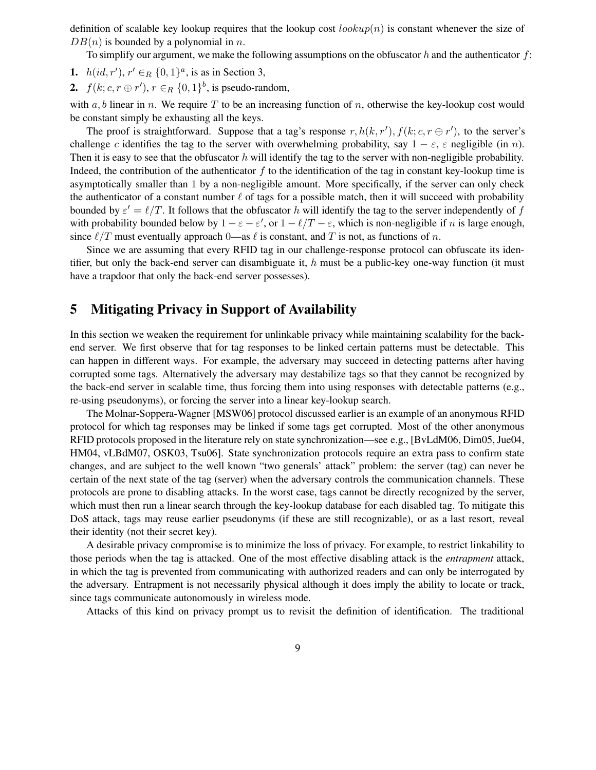definition of scalable key lookup requires that the lookup cost  $\ell(\omega kup(n))$  is constant whenever the size of  $DB(n)$  is bounded by a polynomial in n.

To simplify our argument, we make the following assumptions on the obfuscator h and the authenticator  $f$ :

- **1.**  $h(id, r')$ ,  $r' \in_R \{0, 1\}^a$ , is as in Section 3,
- **2.**  $f(k; c, r \oplus r')$ ,  $r \in_R \{0, 1\}^b$ , is pseudo-random,

with  $a, b$  linear in n. We require T to be an increasing function of n, otherwise the key-lookup cost would be constant simply be exhausting all the keys.

The proof is straightforward. Suppose that a tag's response  $r, h(k, r'), f(k; c, r \oplus r')$ , to the server's challenge c identifies the tag to the server with overwhelming probability, say  $1 - \varepsilon$ ,  $\varepsilon$  negligible (in n). Then it is easy to see that the obfuscator h will identify the tag to the server with non-negligible probability. Indeed, the contribution of the authenticator  $f$  to the identification of the tag in constant key-lookup time is asymptotically smaller than 1 by a non-negligible amount. More specifically, if the server can only check the authenticator of a constant number  $\ell$  of tags for a possible match, then it will succeed with probability bounded by  $\varepsilon' = \ell/T$ . It follows that the obfuscator h will identify the tag to the server independently of f with probability bounded below by  $1 - \varepsilon - \varepsilon'$ , or  $1 - \ell/T - \varepsilon$ , which is non-negligible if *n* is large enough, since  $\ell/T$  must eventually approach 0—as  $\ell$  is constant, and T is not, as functions of n.

Since we are assuming that every RFID tag in our challenge-response protocol can obfuscate its identifier, but only the back-end server can disambiguate it, h must be a public-key one-way function (it must have a trapdoor that only the back-end server possesses).

## **5 Mitigating Privacy in Support of Availability**

In this section we weaken the requirement for unlinkable privacy while maintaining scalability for the backend server. We first observe that for tag responses to be linked certain patterns must be detectable. This can happen in different ways. For example, the adversary may succeed in detecting patterns after having corrupted some tags. Alternatively the adversary may destabilize tags so that they cannot be recognized by the back-end server in scalable time, thus forcing them into using responses with detectable patterns (e.g., re-using pseudonyms), or forcing the server into a linear key-lookup search.

The Molnar-Soppera-Wagner [MSW06] protocol discussed earlier is an example of an anonymous RFID protocol for which tag responses may be linked if some tags get corrupted. Most of the other anonymous RFID protocols proposed in the literature rely on state synchronization—see e.g., [BvLdM06, Dim05, Jue04, HM04, vLBdM07, OSK03, Tsu06]. State synchronization protocols require an extra pass to confirm state changes, and are subject to the well known "two generals' attack" problem: the server (tag) can never be certain of the next state of the tag (server) when the adversary controls the communication channels. These protocols are prone to disabling attacks. In the worst case, tags cannot be directly recognized by the server, which must then run a linear search through the key-lookup database for each disabled tag. To mitigate this DoS attack, tags may reuse earlier pseudonyms (if these are still recognizable), or as a last resort, reveal their identity (not their secret key).

A desirable privacy compromise is to minimize the loss of privacy. For example, to restrict linkability to those periods when the tag is attacked. One of the most effective disabling attack is the *entrapment* attack, in which the tag is prevented from communicating with authorized readers and can only be interrogated by the adversary. Entrapment is not necessarily physical although it does imply the ability to locate or track, since tags communicate autonomously in wireless mode.

Attacks of this kind on privacy prompt us to revisit the definition of identification. The traditional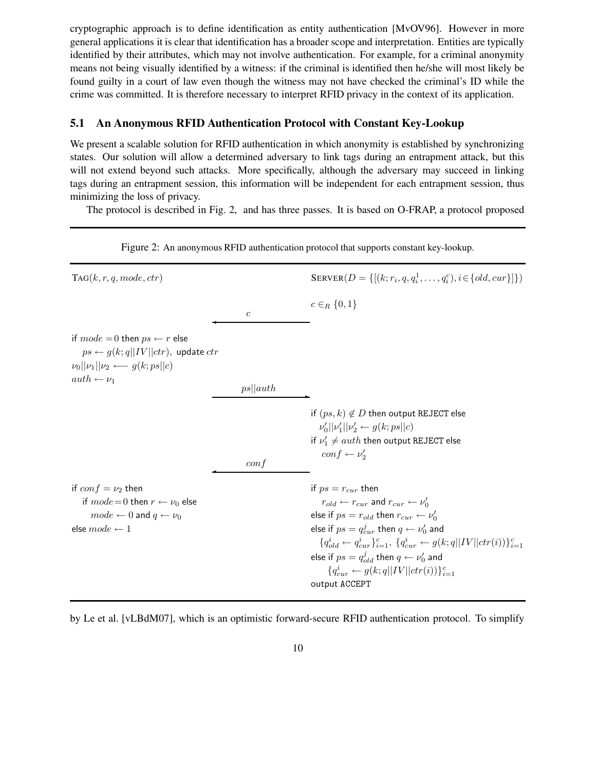cryptographic approach is to define identification as entity authentication [MvOV96]. However in more general applications it is clear that identification has a broader scope and interpretation. Entities are typically identified by their attributes, which may not involve authentication. For example, for a criminal anonymity means not being visually identified by a witness: if the criminal is identified then he/she will most likely be found guilty in a court of law even though the witness may not have checked the criminal's ID while the crime was committed. It is therefore necessary to interpret RFID privacy in the context of its application.

#### **5.1 An Anonymous RFID Authentication Protocol with Constant Key-Lookup**

We present a scalable solution for RFID authentication in which anonymity is established by synchronizing states. Our solution will allow a determined adversary to link tags during an entrapment attack, but this will not extend beyond such attacks. More specifically, although the adversary may succeed in linking tags during an entrapment session, this information will be independent for each entrapment session, thus minimizing the loss of privacy.

The protocol is described in Fig. 2, and has three passes. It is based on O-FRAP, a protocol proposed

 $TAG(k, r, q, mode, ctr)$  $, q, q_i^1, \ldots, q_i^c), i \in \{old, cur\}]\})$  $c \in_R \{0, 1\}$  $\overline{c}$ if  $mode = 0$  then  $ps \leftarrow r$  else  $ps \leftarrow g(k; q||IV||ctr)$ , update  $ctr$  $\nu_0||\nu_1||\nu_2 \longleftarrow g(k;ps||c)$  $auth \leftarrow \nu_1$  $ps||auth$ if  $(ps, k) \notin D$  then output REJECT else  $\nu_0' ||\nu_1'||\nu_2' \leftarrow g(k;ps||c)$ if  $\nu_1' \neq \overline{a}$ ut $h$  then output REJECT else  $conf \leftarrow \nu'_2$  $\frac{conf}{f}$ if  $conf = \nu_2$  then if  $ps = r_{cur}$  then if  $mode=0$  then  $r \leftarrow \nu_0$  else  $\frac{1}{0}$  $\textit{mode} \leftarrow 0$  and  $q \leftarrow \nu_0$  else if  $\textit{ps} = r_{old}$  then  $r_{cur} \leftarrow \nu_0'$ else  $mode \leftarrow 1$  else if  $ps = q_{cur}^j$  then  $q \leftarrow \nu'_0$  and  ${q_{old}^i \leftarrow q_{cur}^i}_{;i=1}^c, \ {q_{cur}^i \leftarrow g(k; q||IV||ctr(i))}\}_{i=1}^c$ else if  $ps = q_{old}^j$  then  $q \leftarrow \nu_0'$  and  ${q}_{cur}^i \leftarrow g(k; q||IV||ctr(i))\}_{i=1}^c$ output ACCEPT

Figure 2: An anonymous RFID authentication protocol that supports constant key-lookup.

by Le et al. [vLBdM07], which is an optimistic forward-secure RFID authentication protocol. To simplify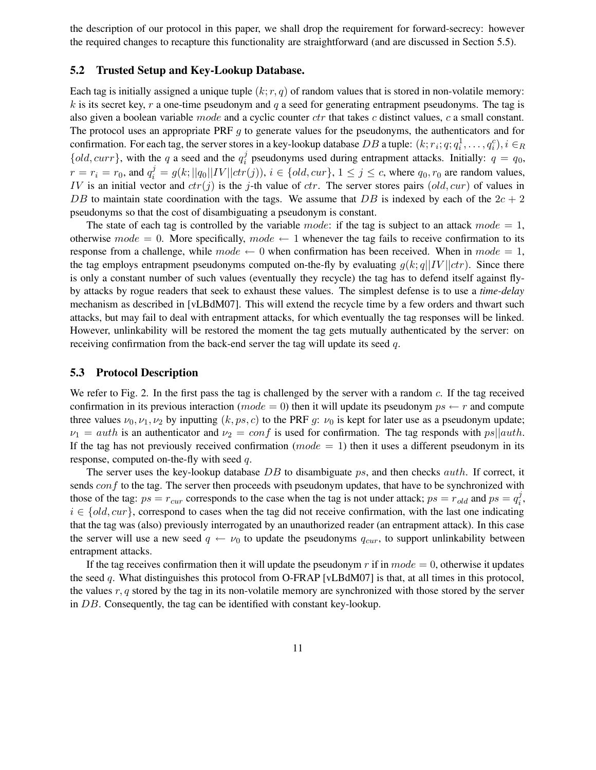the description of our protocol in this paper, we shall drop the requirement for forward-secrecy: however the required changes to recapture this functionality are straightforward (and are discussed in Section 5.5).

#### **5.2 Trusted Setup and Key-Lookup Database.**

Each tag is initially assigned a unique tuple  $(k; r, q)$  of random values that is stored in non-volatile memory: k is its secret key, r a one-time pseudonym and q a seed for generating entrapment pseudonyms. The tag is also given a boolean variable mode and a cyclic counter  $ctr$  that takes c distinct values, c a small constant. The protocol uses an appropriate PRF  $g$  to generate values for the pseudonyms, the authenticators and for confirmation. For each tag, the server stores in a key-lookup database DB a tuple:  $(k; r_i; q; q_i)$  $i<sup>i</sup>, \ldots, q<sub>i</sub><sup>c</sup>), i \in R$  $\{old, curr\}$ , with the q a seed and the  $q_i^j$  $i$  pseudonyms used during entrapment attacks. Initially:  $q = q_0$ ,  $r = r_i = r_0$ , and  $q_i^j = g(k; ||q_0||IV||ctr(j)), i \in \{old, cur\}, 1 \le j \le c$ , where  $q_0, r_0$  are random values, IV is an initial vector and  $ctr(j)$  is the j-th value of ctr. The server stores pairs (old, cur) of values in DB to maintain state coordination with the tags. We assume that DB is indexed by each of the  $2c + 2$ pseudonyms so that the cost of disambiguating a pseudonym is constant.

The state of each tag is controlled by the variable mode: if the tag is subject to an attack mode  $= 1$ , otherwise  $mode = 0$ . More specifically,  $mode \leftarrow 1$  whenever the tag fails to receive confirmation to its response from a challenge, while  $mode \leftarrow 0$  when confirmation has been received. When in  $mode = 1$ , the tag employs entrapment pseudonyms computed on-the-fly by evaluating  $g(k; q||IV||ctr)$ . Since there is only a constant number of such values (eventually they recycle) the tag has to defend itself against flyby attacks by rogue readers that seek to exhaust these values. The simplest defense is to use a *time-delay* mechanism as described in [vLBdM07]. This will extend the recycle time by a few orders and thwart such attacks, but may fail to deal with entrapment attacks, for which eventually the tag responses will be linked. However, unlinkability will be restored the moment the tag gets mutually authenticated by the server: on receiving confirmation from the back-end server the tag will update its seed q.

#### **5.3 Protocol Description**

We refer to Fig. 2. In the first pass the tag is challenged by the server with a random c. If the tag received confirmation in its previous interaction ( $mode = 0$ ) then it will update its pseudonym  $ps \leftarrow r$  and compute three values  $\nu_0$ ,  $\nu_1$ ,  $\nu_2$  by inputting  $(k, ps, c)$  to the PRF g:  $\nu_0$  is kept for later use as a pseudonym update;  $\nu_1 = auth$  is an authenticator and  $\nu_2 = conf$  is used for confirmation. The tag responds with  $ps||auth$ . If the tag has not previously received confirmation ( $mode = 1$ ) then it uses a different pseudonym in its response, computed on-the-fly with seed  $q$ .

The server uses the key-lookup database  $DB$  to disambiguate ps, and then checks *auth*. If correct, it sends  $conf$  to the tag. The server then proceeds with pseudonym updates, that have to be synchronized with those of the tag:  $ps = r_{cur}$  corresponds to the case when the tag is not under attack;  $ps = r_{old}$  and  $ps = q_i^j$  $_{i}^{\jmath},$  $i \in \{old, cur\}$ , correspond to cases when the tag did not receive confirmation, with the last one indicating that the tag was (also) previously interrogated by an unauthorized reader (an entrapment attack). In this case the server will use a new seed  $q \leftarrow \nu_0$  to update the pseudonyms  $q_{cur}$ , to support unlinkability between entrapment attacks.

If the tag receives confirmation then it will update the pseudonym r if in  $mode = 0$ , otherwise it updates the seed q. What distinguishes this protocol from O-FRAP [vLBdM07] is that, at all times in this protocol, the values  $r, q$  stored by the tag in its non-volatile memory are synchronized with those stored by the server in DB. Consequently, the tag can be identified with constant key-lookup.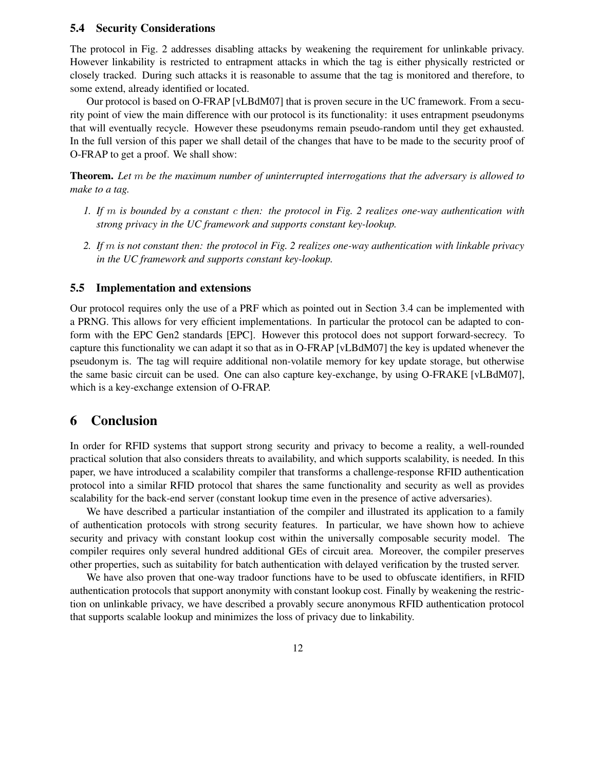#### **5.4 Security Considerations**

The protocol in Fig. 2 addresses disabling attacks by weakening the requirement for unlinkable privacy. However linkability is restricted to entrapment attacks in which the tag is either physically restricted or closely tracked. During such attacks it is reasonable to assume that the tag is monitored and therefore, to some extend, already identified or located.

Our protocol is based on O-FRAP [vLBdM07] that is proven secure in the UC framework. From a security point of view the main difference with our protocol is its functionality: it uses entrapment pseudonyms that will eventually recycle. However these pseudonyms remain pseudo-random until they get exhausted. In the full version of this paper we shall detail of the changes that have to be made to the security proof of O-FRAP to get a proof. We shall show:

**Theorem.** *Let* m *be the maximum number of uninterrupted interrogations that the adversary is allowed to make to a tag.*

- *1. If* m *is bounded by a constant* c *then: the protocol in Fig. 2 realizes one-way authentication with strong privacy in the UC framework and supports constant key-lookup.*
- 2. If  $m$  is not constant then: the protocol in Fig. 2 realizes one-way authentication with linkable privacy *in the UC framework and supports constant key-lookup.*

#### **5.5 Implementation and extensions**

Our protocol requires only the use of a PRF which as pointed out in Section 3.4 can be implemented with a PRNG. This allows for very efficient implementations. In particular the protocol can be adapted to conform with the EPC Gen2 standards [EPC]. However this protocol does not support forward-secrecy. To capture this functionality we can adapt it so that as in O-FRAP [vLBdM07] the key is updated whenever the pseudonym is. The tag will require additional non-volatile memory for key update storage, but otherwise the same basic circuit can be used. One can also capture key-exchange, by using O-FRAKE [vLBdM07], which is a key-exchange extension of O-FRAP.

## **6 Conclusion**

In order for RFID systems that support strong security and privacy to become a reality, a well-rounded practical solution that also considers threats to availability, and which supports scalability, is needed. In this paper, we have introduced a scalability compiler that transforms a challenge-response RFID authentication protocol into a similar RFID protocol that shares the same functionality and security as well as provides scalability for the back-end server (constant lookup time even in the presence of active adversaries).

We have described a particular instantiation of the compiler and illustrated its application to a family of authentication protocols with strong security features. In particular, we have shown how to achieve security and privacy with constant lookup cost within the universally composable security model. The compiler requires only several hundred additional GEs of circuit area. Moreover, the compiler preserves other properties, such as suitability for batch authentication with delayed verification by the trusted server.

We have also proven that one-way tradoor functions have to be used to obfuscate identifiers, in RFID authentication protocols that support anonymity with constant lookup cost. Finally by weakening the restriction on unlinkable privacy, we have described a provably secure anonymous RFID authentication protocol that supports scalable lookup and minimizes the loss of privacy due to linkability.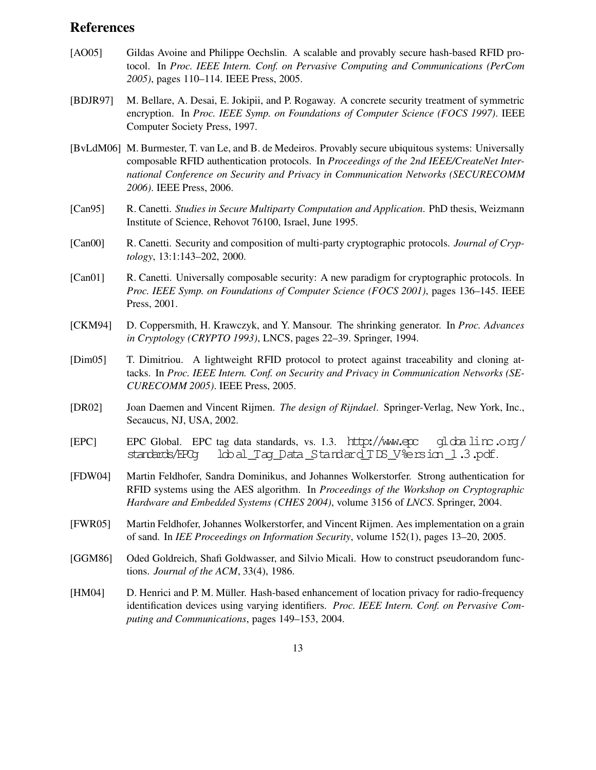## **References**

- [AO05] Gildas Avoine and Philippe Oechslin. A scalable and provably secure hash-based RFID protocol. In *Proc. IEEE Intern. Conf. on Pervasive Computing and Communications (PerCom 2005)*, pages 110–114. IEEE Press, 2005.
- [BDJR97] M. Bellare, A. Desai, E. Jokipii, and P. Rogaway. A concrete security treatment of symmetric encryption. In *Proc. IEEE Symp. on Foundations of Computer Science (FOCS 1997)*. IEEE Computer Society Press, 1997.
- [BvLdM06] M. Burmester, T. van Le, and B. de Medeiros. Provably secure ubiquitous systems: Universally composable RFID authentication protocols. In *Proceedings of the 2nd IEEE/CreateNet International Conference on Security and Privacy in Communication Networks (SECURECOMM 2006)*. IEEE Press, 2006.
- [Can95] R. Canetti. *Studies in Secure Multiparty Computation and Application*. PhD thesis, Weizmann Institute of Science, Rehovot 76100, Israel, June 1995.
- [Can00] R. Canetti. Security and composition of multi-party cryptographic protocols. *Journal of Cryptology*, 13:1:143–202, 2000.
- [Can01] R. Canetti. Universally composable security: A new paradigm for cryptographic protocols. In *Proc. IEEE Symp. on Foundations of Computer Science (FOCS 2001)*, pages 136–145. IEEE Press, 2001.
- [CKM94] D. Coppersmith, H. Krawczyk, and Y. Mansour. The shrinking generator. In *Proc. Advances in Cryptology (CRYPTO 1993)*, LNCS, pages 22–39. Springer, 1994.
- [Dim05] T. Dimitriou. A lightweight RFID protocol to protect against traceability and cloning attacks. In *Proc. IEEE Intern. Conf. on Security and Privacy in Communication Networks (SE-CURECOMM 2005)*. IEEE Press, 2005.
- [DR02] Joan Daemen and Vincent Rijmen. *The design of Rijndael*. Springer-Verlag, New York, Inc., Secaucus, NJ, USA, 2002.
- [EPC] EPC Global. EPC tag data standards, vs. 1.3. http://www.epc gl dx  $\text{lim}$ .org/ standards/EPCg lob al \_T ag \_D ata \_S ta nd ard \_T DS \_V %e rs ion \_1 .3 .p df .
- [FDW04] Martin Feldhofer, Sandra Dominikus, and Johannes Wolkerstorfer. Strong authentication for RFID systems using the AES algorithm. In *Proceedings of the Workshop on Cryptographic Hardware and Embedded Systems (CHES 2004)*, volume 3156 of *LNCS*. Springer, 2004.
- [FWR05] Martin Feldhofer, Johannes Wolkerstorfer, and Vincent Rijmen. Aes implementation on a grain of sand. In *IEE Proceedings on Information Security*, volume 152(1), pages 13–20, 2005.
- [GGM86] Oded Goldreich, Shafi Goldwasser, and Silvio Micali. How to construct pseudorandom functions. *Journal of the ACM*, 33(4), 1986.
- [HM04] D. Henrici and P. M. Müller. Hash-based enhancement of location privacy for radio-frequency identification devices using varying identifiers. *Proc. IEEE Intern. Conf. on Pervasive Computing and Communications*, pages 149–153, 2004.